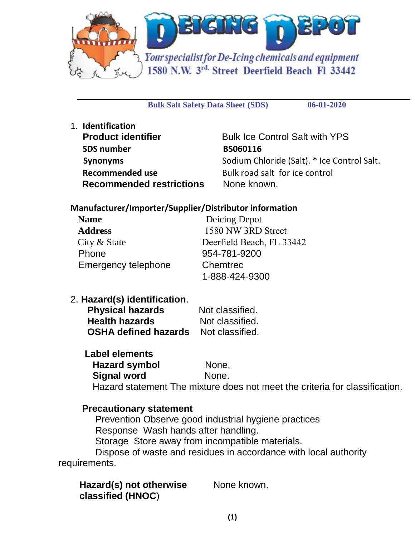

**Bulk Salt Safety Data Sheet (SDS) 06-01-2020**

1. **Identification Product identifier** Bulk Ice Control Salt with YPS SDS number BS060116 **Recommended use** Bulk road salt for ice control **Recommended restrictions** None known.

**Synonyms** Sodium Chloride (Salt). \* Ice Control Salt.

# **Manufacturer/Importer/Supplier/Distributor information**

| <b>Name</b>         | Deicing Depot             |
|---------------------|---------------------------|
| <b>Address</b>      | 1580 NW 3RD Street        |
| City & State        | Deerfield Beach, FL 33442 |
| Phone               | 954-781-9200              |
| Emergency telephone | Chemtrec                  |
|                     | 1-888-424-9300            |

2. **Hazard(s) identification**.

| <b>Physical hazards</b>     | Not classified. |
|-----------------------------|-----------------|
| <b>Health hazards</b>       | Not classified. |
| <b>OSHA defined hazards</b> | Not classified. |

# **Label elements**

| <b>Hazard symbol</b> | None.                                                                       |
|----------------------|-----------------------------------------------------------------------------|
| Signal word          | None.                                                                       |
|                      | Hazard statement The mixture does not meet the criteria for classification. |

# **Precautionary statement**

 Prevention Observe good industrial hygiene practices Response Wash hands after handling. Storage Store away from incompatible materials. Dispose of waste and residues in accordance with local authority

requirements.

|                   | Hazard(s) not otherwise | None known. |
|-------------------|-------------------------|-------------|
| classified (HNOC) |                         |             |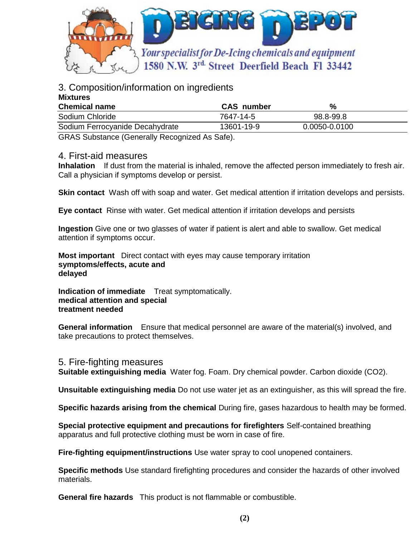

# 3. Composition/information on ingredients

| <b>Mixtures</b>                 |                   |               |  |
|---------------------------------|-------------------|---------------|--|
| <b>Chemical name</b>            | <b>CAS</b> number | %             |  |
| Sodium Chloride                 | 7647-14-5         | 98.8-99.8     |  |
| Sodium Ferrocyanide Decahydrate | 13601-19-9        | 0.0050-0.0100 |  |
|                                 |                   |               |  |

GRAS Substance (Generally Recognized As Safe).

### 4. First-aid measures

**Inhalation** If dust from the material is inhaled, remove the affected person immediately to fresh air. Call a physician if symptoms develop or persist.

**Skin contact** Wash off with soap and water. Get medical attention if irritation develops and persists.

**Eye contact** Rinse with water. Get medical attention if irritation develops and persists

**Ingestion** Give one or two glasses of water if patient is alert and able to swallow. Get medical attention if symptoms occur.

**Most important** Direct contact with eyes may cause temporary irritation **symptoms/effects, acute and delayed** 

**Indication of immediate** Treat symptomatically. **medical attention and special treatment needed** 

**General information** Ensure that medical personnel are aware of the material(s) involved, and take precautions to protect themselves.

#### 5. Fire-fighting measures

**Suitable extinguishing media** Water fog. Foam. Dry chemical powder. Carbon dioxide (CO2).

**Unsuitable extinguishing media** Do not use water jet as an extinguisher, as this will spread the fire.

**Specific hazards arising from the chemical** During fire, gases hazardous to health may be formed.

**Special protective equipment and precautions for firefighters** Self-contained breathing apparatus and full protective clothing must be worn in case of fire.

**Fire-fighting equipment/instructions** Use water spray to cool unopened containers.

**Specific methods** Use standard firefighting procedures and consider the hazards of other involved materials.

**General fire hazards** This product is not flammable or combustible.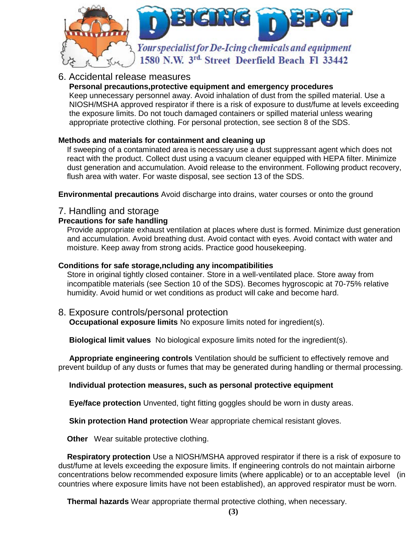

# 6. Accidental release measures

### **Personal precautions,protective equipment and emergency procedures**

Keep unnecessary personnel away. Avoid inhalation of dust from the spilled material. Use a NIOSH/MSHA approved respirator if there is a risk of exposure to dust/fume at levels exceeding the exposure limits. Do not touch damaged containers or spilled material unless wearing appropriate protective clothing. For personal protection, see section 8 of the SDS.

### **Methods and materials for containment and cleaning up**

 If sweeping of a contaminated area is necessary use a dust suppressant agent which does not react with the product. Collect dust using a vacuum cleaner equipped with HEPA filter. Minimize dust generation and accumulation. Avoid release to the environment. Following product recovery, flush area with water. For waste disposal, see section 13 of the SDS.

**Environmental precautions** Avoid discharge into drains, water courses or onto the ground

### 7. Handling and storage

### **Precautions for safe handling**

 Provide appropriate exhaust ventilation at places where dust is formed. Minimize dust generation and accumulation. Avoid breathing dust. Avoid contact with eyes. Avoid contact with water and moisture. Keep away from strong acids. Practice good housekeeping.

#### **Conditions for safe storage,ncluding any incompatibilities**

 Store in original tightly closed container. Store in a well-ventilated place. Store away from incompatible materials (see Section 10 of the SDS). Becomes hygroscopic at 70-75% relative humidity. Avoid humid or wet conditions as product will cake and become hard.

# 8. Exposure controls/personal protection

**Occupational exposure limits** No exposure limits noted for ingredient(s).

**Biological limit values** No biological exposure limits noted for the ingredient(s).

**Appropriate engineering controls** Ventilation should be sufficient to effectively remove and prevent buildup of any dusts or fumes that may be generated during handling or thermal processing.

#### **Individual protection measures, such as personal protective equipment**

**Eye/face protection** Unvented, tight fitting goggles should be worn in dusty areas.

**Skin protection Hand protection** Wear appropriate chemical resistant gloves.

**Other** Wear suitable protective clothing.

 **Respiratory protection** Use a NIOSH/MSHA approved respirator if there is a risk of exposure to dust/fume at levels exceeding the exposure limits. If engineering controls do not maintain airborne concentrations below recommended exposure limits (where applicable) or to an acceptable level (in countries where exposure limits have not been established), an approved respirator must be worn.

 **Thermal hazards** Wear appropriate thermal protective clothing, when necessary.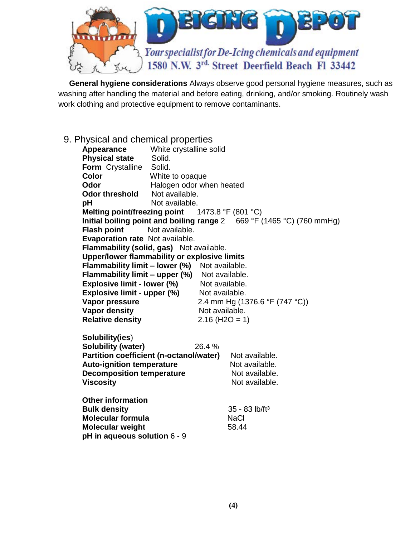

 **General hygiene considerations** Always observe good personal hygiene measures, such as washing after handling the material and before eating, drinking, and/or smoking. Routinely wash work clothing and protective equipment to remove contaminants.

9. Physical and chemical properties

| Appearance                                      | White crystalline solid  |                               |                                                                       |  |
|-------------------------------------------------|--------------------------|-------------------------------|-----------------------------------------------------------------------|--|
| <b>Physical state</b>                           | Solid.                   |                               |                                                                       |  |
| Form Crystalline Solid.                         |                          |                               |                                                                       |  |
| <b>Color</b>                                    | White to opaque          |                               |                                                                       |  |
| Odor                                            | Halogen odor when heated |                               |                                                                       |  |
| <b>Odor threshold</b>                           | Not available.           |                               |                                                                       |  |
| pH                                              | Not available.           |                               |                                                                       |  |
| Melting point/freezing point 1473.8 °F (801 °C) |                          |                               |                                                                       |  |
|                                                 |                          |                               | Initial boiling point and boiling range 2 669 °F (1465 °C) (760 mmHg) |  |
| <b>Flash point</b>                              | Not available.           |                               |                                                                       |  |
| Evaporation rate Not available.                 |                          |                               |                                                                       |  |
| Flammability (solid, gas) Not available.        |                          |                               |                                                                       |  |
| Upper/lower flammability or explosive limits    |                          |                               |                                                                       |  |
| Flammability limit - lower (%) Not available.   |                          |                               |                                                                       |  |
| Flammability limit - upper (%) Not available.   |                          |                               |                                                                       |  |
| <b>Explosive limit - lower (%)</b>              |                          | Not available.                |                                                                       |  |
| Explosive limit - upper (%)                     |                          | Not available.                |                                                                       |  |
| Vapor pressure                                  |                          |                               | 2.4 mm Hg (1376.6 °F (747 °C))                                        |  |
| <b>Vapor density</b>                            |                          | Not available.                |                                                                       |  |
| <b>Relative density</b>                         |                          | $2.16$ (H <sub>2</sub> O = 1) |                                                                       |  |
| Solubility(ies)<br><b>Solubility (water)</b>    |                          | 26.4 %                        |                                                                       |  |
| Partition coefficient (n-octanol/water)         |                          |                               | Not available.                                                        |  |
| <b>Auto-ignition temperature</b>                |                          |                               | Not available.                                                        |  |
| <b>Decomposition temperature</b>                |                          |                               | Not available.                                                        |  |
| <b>Viscosity</b>                                |                          |                               | Not available.                                                        |  |
|                                                 |                          |                               |                                                                       |  |
| <b>Other information</b>                        |                          |                               |                                                                       |  |
| <b>Bulk density</b>                             |                          |                               | $35 - 83$ lb/ft <sup>3</sup>                                          |  |
| <b>Molecular formula</b>                        |                          |                               | <b>NaCl</b>                                                           |  |
| <b>Molecular weight</b>                         |                          |                               | 58.44                                                                 |  |
| pH in aqueous solution 6 - 9                    |                          |                               |                                                                       |  |
|                                                 |                          |                               |                                                                       |  |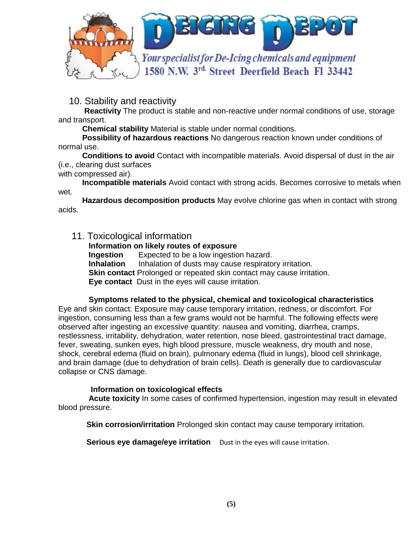

10. Stability and reactivity

**Reactivity** The product is stable and non-reactive under normal conditions of use, storage and transport.

**Chemical stability** Material is stable under normal conditions.

 **Possibility of hazardous reactions** No dangerous reaction known under conditions of normal use.

**Conditions to avoid** Contact with incompatible materials. Avoid dispersal of dust in the air (i.e., clearing dust surfaces

with compressed air).

 **Incompatible materials** Avoid contact with strong acids. Becomes corrosive to metals when wet.

 **Hazardous decomposition products** May evolve chlorine gas when in contact with strong acids.

# 11. Toxicological information

**Information on likely routes of exposure**

**Ingestion** Expected to be a low ingestion hazard.

**Inhalation** Inhalation of dusts may cause respiratory irritation.

**Skin contact** Prolonged or repeated skin contact may cause irritation.

**Eye contact** Dust in the eyes will cause irritation.

#### **Symptoms related to the physical, chemical and toxicological characteristics**

Eye and skin contact: Exposure may cause temporary irritation, redness, or discomfort. For ingestion, consuming less than a few grams would not be harmful. The following effects were observed after ingesting an excessive quantity: nausea and vomiting, diarrhea, cramps, restlessness, irritability, dehydration, water retention, nose bleed, gastrointestinal tract damage, fever, sweating, sunken eyes, high blood pressure, muscle weakness, dry mouth and nose, shock, cerebral edema (fluid on brain), pulmonary edema (fluid in lungs), blood cell shrinkage, and brain damage (due to dehydration of brain cells). Death is generally due to cardiovascular collapse or CNS damage.

#### **Information on toxicological effects**

 **Acute toxicity** In some cases of confirmed hypertension, ingestion may result in elevated blood pressure.

**Skin corrosion/irritation** Prolonged skin contact may cause temporary irritation.

**Serious eye damage/eye irritation** Dust in the eyes will cause irritation.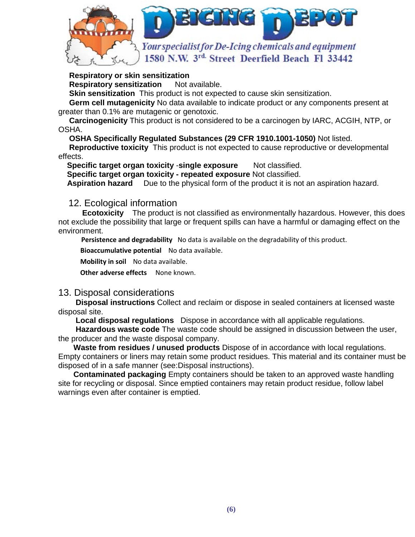

#### **Respiratory or skin sensitization**

**Respiratory sensitization** Not available.

 **Skin sensitization** This product is not expected to cause skin sensitization.

**Germ cell mutagenicity** No data available to indicate product or any components present at greater than 0.1% are mutagenic or genotoxic.

 **Carcinogenicity** This product is not considered to be a carcinogen by IARC, ACGIH, NTP, or OSHA.

 **OSHA Specifically Regulated Substances (29 CFR 1910.1001-1050)** Not listed.

 **Reproductive toxicity** This product is not expected to cause reproductive or developmental effects.

**Specific target organ toxicity -single exposure** Not classified.

**Specific target organ toxicity - repeated exposure** Not classified.

**Aspiration hazard** Due to the physical form of the product it is not an aspiration hazard.

#### 12. Ecological information

**Ecotoxicity** The product is not classified as environmentally hazardous. However, this does not exclude the possibility that large or frequent spills can have a harmful or damaging effect on the environment.

 **Persistence and degradability** No data is available on the degradability of this product.

**Bioaccumulative potential** No data available.

**Mobility in soil** No data available.

**Other adverse effects** None known.

#### 13. Disposal considerations

**Disposal instructions** Collect and reclaim or dispose in sealed containers at licensed waste disposal site.

 **Local disposal regulations** Dispose in accordance with all applicable regulations.

 **Hazardous waste code** The waste code should be assigned in discussion between the user, the producer and the waste disposal company.

 **Waste from residues / unused products** Dispose of in accordance with local regulations. Empty containers or liners may retain some product residues. This material and its container must be disposed of in a safe manner (see:Disposal instructions).

 **Contaminated packaging** Empty containers should be taken to an approved waste handling site for recycling or disposal. Since emptied containers may retain product residue, follow label warnings even after container is emptied.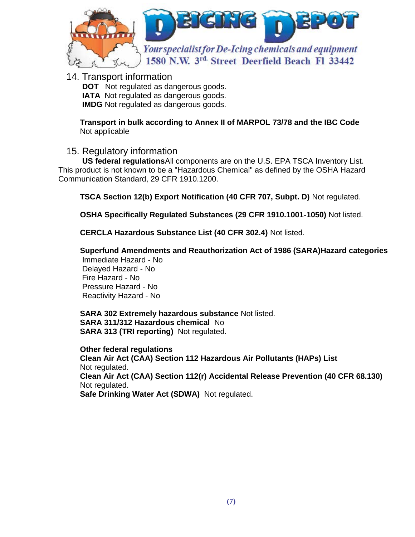

14. Transport information

**DOT** Not regulated as dangerous goods. **IATA** Not regulated as dangerous goods. **IMDG** Not regulated as dangerous goods.

**Transport in bulk according to Annex II of MARPOL 73/78 and the IBC Code** Not applicable

# 15. Regulatory information

**US federal regulations**All components are on the U.S. EPA TSCA Inventory List. This product is not known to be a "Hazardous Chemical" as defined by the OSHA Hazard Communication Standard, 29 CFR 1910.1200.

 **TSCA Section 12(b) Export Notification (40 CFR 707, Subpt. D)** Not regulated.

 **OSHA Specifically Regulated Substances (29 CFR 1910.1001-1050)** Not listed.

 **CERCLA Hazardous Substance List (40 CFR 302.4)** Not listed.

 **Superfund Amendments and Reauthorization Act of 1986 (SARA)Hazard categories** 

 Immediate Hazard - No Delayed Hazard - No Fire Hazard - No Pressure Hazard - No Reactivity Hazard - No

**SARA 302 Extremely hazardous substance** Not listed.  **SARA 311/312 Hazardous chemical** No **SARA 313 (TRI reporting)** Not regulated.

**Other federal regulations Clean Air Act (CAA) Section 112 Hazardous Air Pollutants (HAPs) List**  Not regulated.  **Clean Air Act (CAA) Section 112(r) Accidental Release Prevention (40 CFR 68.130)**  Not regulated.  **Safe Drinking Water Act (SDWA)** Not regulated.